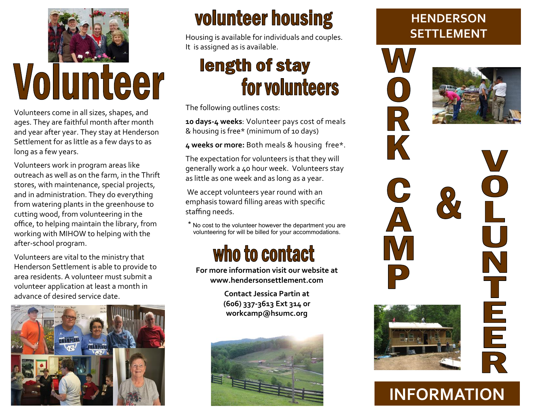

# Volunteer

Volunteers come in all sizes, shapes, and ages. They are faithful month after month and year after year. They stay at Henderson Settlement for as little as a few days to as long as a few years.

Volunteers work in program areas like outreach as well as on the farm, in the Thrift stores, with maintenance, special projects, and in administration. They do everything from watering plants in the greenhouse to cutting wood, from volunteering in the office, to helping maintain the library, from working with MIHOW to helping with the after-school program.

Volunteers are vital to the ministry that Henderson Settlement is able to provide to area residents. A volunteer must submit a volunteer application at least a month in advance of desired service date.



## **volunteer housing**

Housing is available for individuals and couples. It is assigned as is available.

### length of stay for volunteers

The following outlines costs:

**10 days-4 weeks**: Volunteer pays cost of meals & housing is free\* (minimum of 10 days)

**4 weeks or more:** Both meals & housing free\*.

The expectation for volunteers is that they will generally work a 40 hour week. Volunteers stay as little as one week and as long as a year.

We accept volunteers year round with an emphasis toward filling areas with specific staffing needs.

\* No cost to the volunteer however the department you are volunteering for will be billed for your accommodations.

# who to contact

**For more information visit our website at www.hendersonsettlement.com**

> **Contact Jessica Partin at (606) 337-3613 Ext 314 or workcamp@hsumc.org**



#### **HENDERSON SETTLEMENT**

R

K

C

 $\Delta$ 



 $\bar{\mathbf{C}}$ N T E<br>E<br>R<br>R

### **INFORMATION**